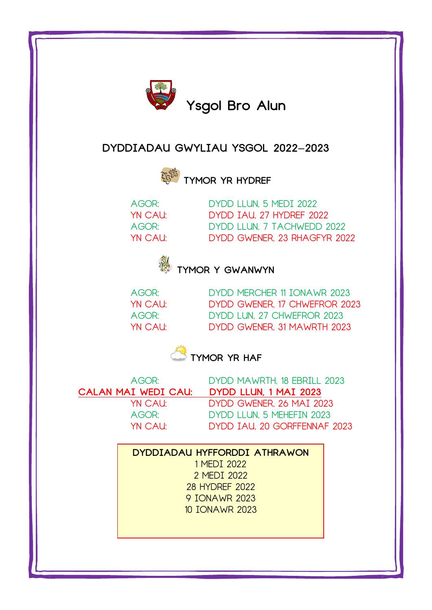

## **DYDDIADAU GWYLIAU YSGOL 2022-2023**



**TYMOR YR HYDREF**

AGOR: DYDD LLUN, 5 MEDI 2022 YN CAU: DYDD IAU, 27 HYDREF 2022 AGOR: DYDD LLUN, 7 TACHWEDD 2022 YN CAU: DYDD GWENER, 23 RHAGFYR 2022



## **TYMOR Y GWANWYN**

AGOR: DYDD MERCHER 11 IONAWR 2023 YN CAU: DYDD GWENER, 17 CHWEFROR 2023 AGOR: DYDD LUN, 27 CHWEFROR 2023 YN CAU: DYDD GWENER, 31 MAWRTH 2023

**TYMOR YR HAF** 

AGOR: DYDD MAWRTH, 18 EBRILL 2023 **CALAN MAI WEDI CAU: DYDD LLUN, 1 MAI 2023** YN CAU: DYDD GWENER, 26 MAI 2023 AGOR: DYDD LLUN, 5 MEHEFIN 2023 YN CAU: DYDD IAU, 20 GORFFENNAF 2023

## **DYDDIADAU HYFFORDDI ATHRAWON**

1 MEDI 2022 2 MEDI 2022 28 HYDREF 2022 9 IONAWR 2023 10 IONAWR 2023